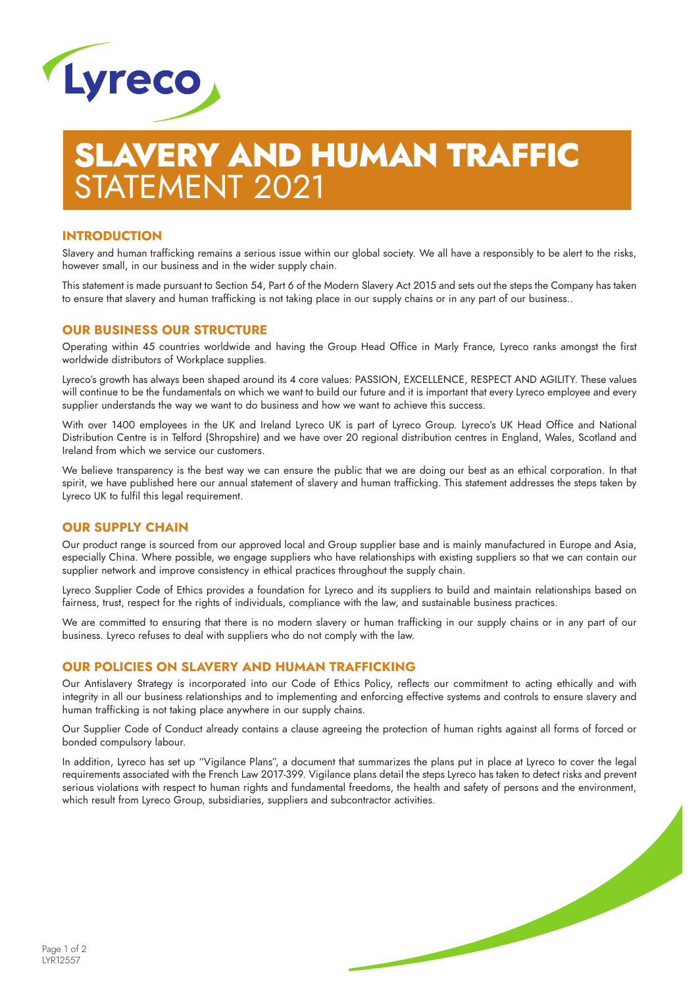

# LAVERY AND HUMAN TRAFFIC STATEMENT 2021

### **INTRODUCTION**

Slavery and human trafficking remains a serious issue within our global society. We all have a responsibly to be alert to the risks, however small, in our business and in the wider supply chain.

This statement is made pursuant to Section 54, Part 6 of the Modern Slavery Act 2015 and sets out the steps the Company has taken to ensure that slavery and human trafficking is not taking place in our supply chains or in any part of our business..

### **OUR BUSINESS OUR STRUCTURE**

Operating within 45 countries worldwide and having the Group Head Office in Marly France, Lyreco ranks amongst the first worldwide distributors of Workplace supplies.

Lyreco's growth has always been shaped around its 4 core values: PASSION, EXCELLENCE, RESPECT AND AGILITY. These values will continue to be the fundamentals on which we want to build our future and it is important that every Lyreco employee and every supplier understands the way we want to do business and how we want to achieve this success.

With over 1400 employees in the UK and Ireland Lyreco UK is part of Lyreco Group. Lyreco's UK Head Office and National Distribution Centre is in Telford (Shropshire) and we have over 20 regional distribution centres in England, Wales, Scotland and Ireland from which we service our customers.

We believe transparency is the best way we can ensure the public that we are doing our best as an ethical corporation. In that spirit, we have published here our annual statement of slavery and human trafficking. This statement addresses the steps taken by Lyreco UK to fulfil this legal requirement.

### **OUR SUPPLY CHAIN**

Our product range is sourced from our approved local and Group supplier base and is mainly manufactured in Europe and Asia, especially China. Where possible, we engage suppliers who have relationships with existing suppliers so that we can contain our supplier network and improve consistency in ethical practices throughout the supply chain.

Lyreco Supplier Code of Ethics provides a foundation for Lyreco and its suppliers to build and maintain relationships based on fairness, trust, respect for the rights of individuals, compliance with the law, and sustainable business practices.

We are committed to ensuring that there is no modern slavery or human trafficking in our supply chains or in any part of our business. Lyreco refuses to deal with suppliers who do not comply with the law.

### **OUR POLICIES ON SLAVERY AND HUMAN TRAFFICKING**

Our Antislavery Strategy is incorporated into our Code of Ethics Policy, reflects our commitment to acting ethically and with integrity in all our business relationships and to implementing and enforcing effective systems and controls to ensure slavery and human trafficking is not taking place anywhere in our supply chains.

Our Supplier Code of Conduct already contains a clause agreeing the protection of human rights against all forms of forced or bonded compulsory labour.

In addition, Lyreco has set up "Vigilance Plans", a document that summarizes the plans put in place at Lyreco to cover the legal requirements associated with the French Law 2017-399. Vigilance plans detail the steps Lyreco has taken to detect risks and prevent serious violations with respect to human rights and fundamental freedoms, the health and safety of persons and the environment, which result from Lyreco Group, subsidiaries, suppliers and subcontractor activities.